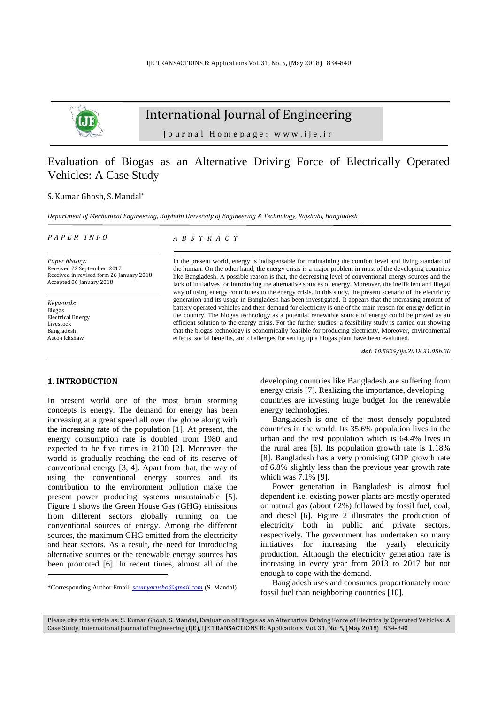

# International Journal of Engineering

Journal Homepage: www.ije.ir

# Evaluation of Biogas as an Alternative Driving Force of Electrically Operated Vehicles: A Case Study

### S. Kumar Ghosh, S. Mandal\*

*Department of Mechanical Engineering, Rajshahi University of Engineering & Technology, Rajshahi, Bangladesh*

#### *P A P E R I N F O*

*Paper history:* Received 22 September 2017 Received in revised form 26 January 2018 Accepted 06 January 2018

*Keywords*: Biogas Electrical Energy Livestock Bangladesh Auto-rickshaw

l

### *A B S T R A C T*

In the present world, energy is indispensable for maintaining the comfort level and living standard of the human. On the other hand, the energy crisis is a major problem in most of the developing countries like Bangladesh. A possible reason is that, the decreasing level of conventional energy sources and the lack of initiatives for introducing the alternative sources of energy. Moreover, the inefficient and illegal way of using energy contributes to the energy crisis. In this study, the present scenario of the electricity generation and its usage in Bangladesh has been investigated. It appears that the increasing amount of battery operated vehicles and their demand for electricity is one of the main reason for energy deficit in the country. The biogas technology as a potential renewable source of energy could be proved as an efficient solution to the energy crisis. For the further studies, a feasibility study is carried out showing that the biogas technology is economically feasible for producing electricity. Moreover, environmental effects, social benefits, and challenges for setting up a biogas plant have been evaluated.

*doi: 10.5829/ije.2018.31.05b.20*

### **1. INTRODUCTION<sup>1</sup>**

In present world one of the most brain storming concepts is energy. The demand for energy has been increasing at a great speed all over the globe along with the increasing rate of the population [\[1\]](#page-5-0). At present, the energy consumption rate is doubled from 1980 and expected to be five times in 2100 [\[2\]](#page-5-1). Moreover, the world is gradually reaching the end of its reserve of conventional energy [\[3,](#page-5-2) [4\]](#page-5-3). Apart from that, the way of using the conventional energy sources and its contribution to the environment pollution make the present power producing systems unsustainable [\[5\]](#page-5-4). Figure 1 shows the Green House Gas (GHG) emissions from different sectors globally running on the conventional sources of energy. Among the different sources, the maximum GHG emitted from the electricity and heat sectors. As a result, the need for introducing alternative sources or the renewable energy sources has been promoted [\[6\]](#page-5-5). In recent times, almost all of the

developing countries like Bangladesh are suffering from energy crisis [\[7\]](#page-5-6). Realizing the importance, developing countries are investing huge budget for the renewable energy technologies.

Bangladesh is one of the most densely populated countries in the world. Its 35.6% population lives in the urban and the rest population which is 64.4% lives in the rural area [\[6\]](#page-5-5). Its population growth rate is 1.18% [\[8\]](#page-5-7). Bangladesh has a very promising GDP growth rate of 6.8% slightly less than the previous year growth rate which was 7.1% [\[9\]](#page-5-8).

Power generation in Bangladesh is almost fuel dependent i.e. existing power plants are mostly operated on natural gas (about 62%) followed by fossil fuel, coal, and diesel [\[6\]](#page-5-5). Figure 2 illustrates the production of electricity both in public and private sectors, respectively. The government has undertaken so many initiatives for increasing the yearly electricity production. Although the electricity generation rate is increasing in every year from 2013 to 2017 but not enough to cope with the demand.

Bangladesh uses and consumes proportionately more fossil fuel than neighboring countries [\[10\]](#page-5-9).

Please cite this article as: S. Kumar Ghosh, S. Mandal, Evaluation of Biogas as an Alternative Driving Force of Electrically Operated Vehicles: A Case Study, International Journal of Engineering (IJE), IJE TRANSACTIONS B: Applications Vol. 31, No. 5, (May 2018) 834-840

<sup>\*</sup>Corresponding Author Email: *[soumyarusho@gmail.com](mailto:soumyarusho@gmail.com)* (S. Mandal)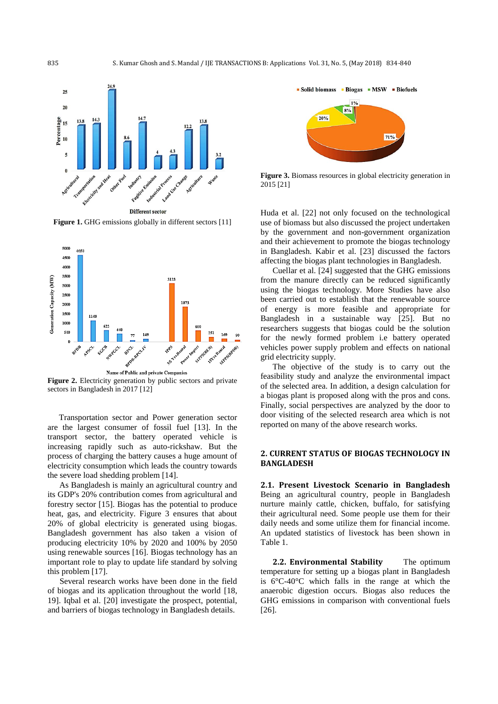

**Figure 1.** GHG emissions globally in different sectors [\[11\]](#page-5-10)



sectors in Bangladesh in 2017 [\[12\]](#page-5-11)

Transportation sector and Power generation sector are the largest consumer of fossil fuel [\[13\]](#page-5-12). In the transport sector, the battery operated vehicle is increasing rapidly such as auto-rickshaw. But the process of charging the battery causes a huge amount of electricity consumption which leads the country towards the severe load shedding problem [\[14\]](#page-5-13).

As Bangladesh is mainly an agricultural country and its GDP's 20% contribution comes from agricultural and forestry sector [\[15\]](#page-5-14). Biogas has the potential to produce heat, gas, and electricity. Figure 3 ensures that about 20% of global electricity is generated using biogas. Bangladesh government has also taken a vision of producing electricity 10% by 2020 and 100% by 2050 using renewable sources [\[16\]](#page-5-15). Biogas technology has an important role to play to update life standard by solving this problem [\[17\]](#page-5-16).

Several research works have been done in the field of biogas and its application throughout the world [\[18,](#page-5-17)  [19\]](#page-5-18). Iqbal et al. [\[20\]](#page-5-19) investigate the prospect, potential, and barriers of biogas technology in Bangladesh details.



**Figure 3.** Biomass resources in global electricity generation in 2015 [\[21\]](#page-5-20)

Huda et al. [\[22\]](#page-5-21) not only focused on the technological use of biomass but also discussed the project undertaken by the government and non-government organization and their achievement to promote the biogas technology in Bangladesh. Kabir et al. [\[23\]](#page-5-22) discussed the factors affecting the biogas plant technologies in Bangladesh.

Cuellar et al. [\[24\]](#page-5-23) suggested that the GHG emissions from the manure directly can be reduced significantly using the biogas technology. More Studies have also been carried out to establish that the renewable source of energy is more feasible and appropriate for Bangladesh in a sustainable way [\[25\]](#page-5-24). But no researchers suggests that biogas could be the solution for the newly formed problem i.e battery operated vehicles power supply problem and effects on national grid electricity supply.

The objective of the study is to carry out the feasibility study and analyze the environmental impact of the selected area. In addition, a design calculation for a biogas plant is proposed along with the pros and cons. Finally, social perspectives are analyzed by the door to door visiting of the selected research area which is not reported on many of the above research works.

## **2. CURRENT STATUS OF BIOGAS TECHNOLOGY IN BANGLADESH**

**2.1. Present Livestock Scenario in Bangladesh** Being an agricultural country, people in Bangladesh nurture mainly cattle, chicken, buffalo, for satisfying their agricultural need. Some people use them for their daily needs and some utilize them for financial income. An updated statistics of livestock has been shown in Table 1.

**2.2. Environmental Stability** The optimum temperature for setting up a biogas plant in Bangladesh is 6°C-40°C which falls in the range at which the anaerobic digestion occurs. Biogas also reduces the GHG emissions in comparison with conventional fuels [\[26\]](#page-5-25).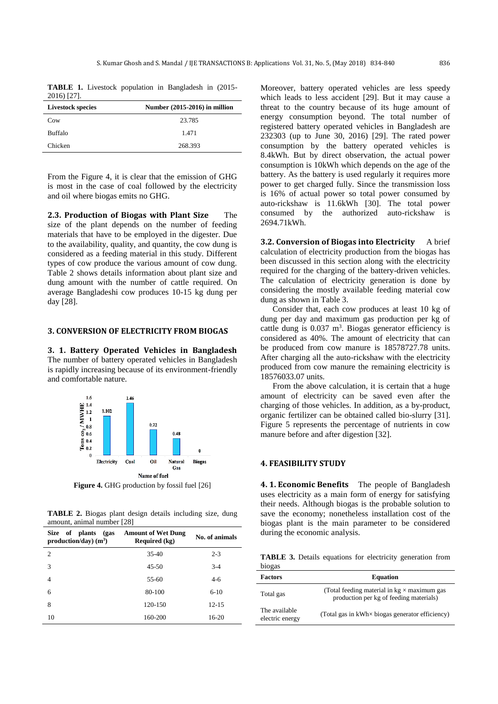**TABLE 1.** Livestock population in Bangladesh in (2015- 2016) [\[27\]](#page-6-0).

| <b>Livestock species</b> | Number (2015-2016) in million |
|--------------------------|-------------------------------|
| Cow                      | 23.785                        |
| <b>Buffalo</b>           | 1.471                         |
| Chicken                  | 268.393                       |

From the Figure 4, it is clear that the emission of GHG is most in the case of coal followed by the electricity and oil where biogas emits no GHG.

**2.3. Production of Biogas with Plant Size** The size of the plant depends on the number of feeding materials that have to be employed in the digester. Due to the availability, quality, and quantity, the cow dung is considered as a feeding material in this study. Different types of cow produce the various amount of cow dung. Table 2 shows details information about plant size and dung amount with the number of cattle required. On average Bangladeshi cow produces 10-15 kg dung per day [\[28\]](#page-6-1).

### **3. CONVERSION OF ELECTRICITY FROM BIOGAS**

**3. 1. Battery Operated Vehicles in Bangladesh**  The number of battery operated vehicles in Bangladesh is rapidly increasing because of its environment-friendly and comfortable nature.



**Figure 4.** GHG production by fossil fuel [\[26\]](#page-5-25)

**TABLE 2.** Biogas plant design details including size, dung amount, animal number [\[28\]](#page-6-1)

| of plants<br><b>Size</b><br>(gas<br>$production/day)$ (m <sup>3</sup> ) | <b>Amount of Wet Dung</b><br>Required (kg) | No. of animals |
|-------------------------------------------------------------------------|--------------------------------------------|----------------|
| $\overline{c}$                                                          | $35-40$                                    | $2 - 3$        |
| 3                                                                       | $45 - 50$                                  | $3-4$          |
| 4                                                                       | $55-60$                                    | $4-6$          |
| 6                                                                       | 80-100                                     | $6 - 10$       |
| 8                                                                       | 120-150                                    | $12 - 15$      |
| 10                                                                      | 160-200                                    | 16-20          |

Moreover, battery operated vehicles are less speedy which leads to less accident [\[29\]](#page-6-2). But it may cause a threat to the country because of its huge amount of energy consumption beyond. The total number of registered battery operated vehicles in Bangladesh are 232303 (up to June 30, 2016) [\[29\]](#page-6-2). The rated power consumption by the battery operated vehicles is 8.4kWh. But by direct observation, the actual power consumption is 10kWh which depends on the age of the battery. As the battery is used regularly it requires more power to get charged fully. Since the transmission loss is 16% of actual power so total power consumed by auto-rickshaw is 11.6kWh [\[30\]](#page-6-3). The total power consumed by the authorized auto-rickshaw is 2694.71kWh.

**3.2. Conversion of Biogas into Electricity** A brief calculation of electricity production from the biogas has been discussed in this section along with the electricity required for the charging of the battery-driven vehicles. The calculation of electricity generation is done by considering the mostly available feeding material cow dung as shown in Table 3.

Consider that, each cow produces at least 10 kg of dung per day and maximum gas production per kg of cattle dung is  $0.037 \text{ m}^3$ . Biogas generator efficiency is considered as 40%. The amount of electricity that can be produced from cow manure is 18578727.78 units. After charging all the auto-rickshaw with the electricity produced from cow manure the remaining electricity is 18576033.07 units.

From the above calculation, it is certain that a huge amount of electricity can be saved even after the charging of those vehicles. In addition, as a by-product, organic fertilizer can be obtained called bio-slurry [\[31\]](#page-6-4). Figure 5 represents the percentage of nutrients in cow manure before and after digestion [\[32\]](#page-6-5).

# **4. FEASIBILITY STUDY**

**4. 1. Economic Benefits** The people of Bangladesh uses electricity as a main form of energy for satisfying their needs. Although biogas is the probable solution to save the economy; nonetheless installation cost of the biogas plant is the main parameter to be considered during the economic analysis.

**TABLE 3.** Details equations for electricity generation from biogas

| <b>Factors</b>                   | <b>Equation</b>                                                                               |  |
|----------------------------------|-----------------------------------------------------------------------------------------------|--|
| Total gas                        | (Total feeding material in $kg \times$ maximum gas<br>production per kg of feeding materials) |  |
| The available<br>electric energy | (Total gas in kWh× biogas generator efficiency)                                               |  |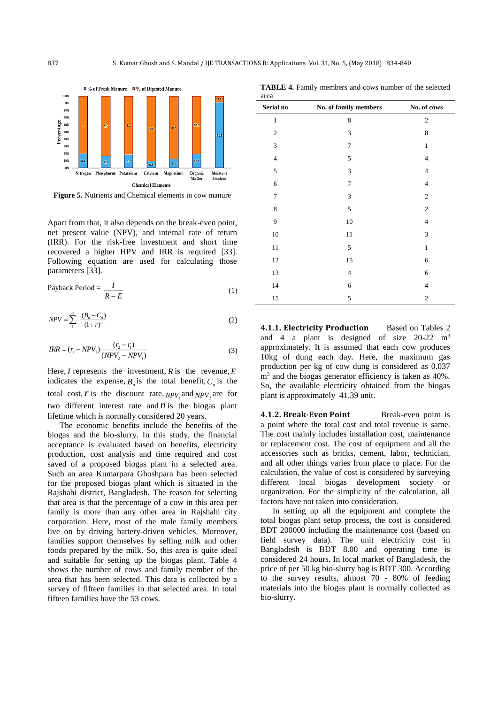

**Figure 5.** Nutrients and Chemical elements in cow manure

Apart from that, it also depends on the break-even point, net present value (NPV), and internal rate of return (IRR). For the risk-free investment and short time recovered a higher HPV and IRR is required [\[33\]](#page-6-6). Following equation are used for calculating those parameters [\[33\]](#page-6-6).

Payback Period = 
$$
\frac{I}{R - E}
$$
 (1)

$$
NPV = \sum_{1}^{n} \frac{(B_n - C_n)}{(1+r)^n}
$$
 (2)

$$
IRR = (r_1 - NPV_1) \frac{(r_2 - r_1)}{(NPV_2 - NPV_1)}
$$
\n(3)

Here,  $I$  represents the investment,  $R$  is the revenue,  $E$ indicates the expense,  $B_n$  is the total benefit,  $C_n$  is the total cost, r is the discount rate,  $NPV_1$  and  $NPV_2$  are for two different interest rate and  $n$  is the biogas plant lifetime which is normally considered 20 years.

The economic benefits include the benefits of the biogas and the bio-slurry. In this study, the financial acceptance is evaluated based on benefits, electricity production, cost analysis and time required and cost saved of a proposed biogas plant in a selected area. Such an area Kumarpara Ghoshpara has been selected for the proposed biogas plant which is situated in the Rajshahi district, Bangladesh. The reason for selecting that area is that the percentage of a cow in this area per family is more than any other area in Rajshahi city corporation. Here, most of the male family members live on by driving battery-driven vehicles. Moreover, families support themselves by selling milk and other foods prepared by the milk. So, this area is quite ideal and suitable for setting up the biogas plant. Table 4 shows the number of cows and family member of the area that has been selected. This data is collected by a survey of fifteen families in that selected area. In total fifteen families have the 53 cows.

| Serial no      | No. of family members | No. of cows      |
|----------------|-----------------------|------------------|
| $\mathbf{1}$   | 8                     | $\sqrt{2}$       |
| $\mathbf{2}$   | 3                     | 8                |
| $\mathfrak{Z}$ | 7                     | $\mathbf{1}$     |
| $\overline{4}$ | 5                     | $\overline{4}$   |
| 5              | 3                     | 4                |
| 6              | 7                     | $\overline{4}$   |
| $\overline{7}$ | 3                     | $\overline{c}$   |
| 8              | 5                     | $\overline{c}$   |
| 9              | $10\,$                | $\overline{4}$   |
| 10             | 11                    | 3                |
| 11             | 5                     | $\mathbf{1}$     |
| 12             | 15                    | 6                |
| 13             | $\overline{4}$        | 6                |
| $14$           | 6                     | 4                |
| 15             | 5                     | $\boldsymbol{2}$ |

**4.1.1. Electricity Production** Based on Tables 2 and 4 a plant is designed of size  $20-22$  m<sup>3</sup> approximately. It is assumed that each cow produces 10kg of dung each day. Here, the maximum gas production per kg of cow dung is considered as 0.037 m<sup>3</sup> and the biogas generator efficiency is taken as 40%. So, the available electricity obtained from the biogas plant is approximately 41.39 unit.

**4.1.2. Break-Even Point** Break-even point is a point where the total cost and total revenue is same. The cost mainly includes installation cost, maintenance or replacement cost. The cost of equipment and all the accessories such as bricks, cement, labor, technician, and all other things varies from place to place. For the calculation, the value of cost is considered by surveying different local biogas development society or organization. For the simplicity of the calculation, all factors have not taken into consideration.

In setting up all the equipment and complete the total biogas plant setup process, the cost is considered BDT 200000 including the maintenance cost (based on field survey data). The unit electricity cost in Bangladesh is BDT 8.00 and operating time is considered 24 hours. In local market of Bangladesh, the price of per 50 kg bio-slurry bag is BDT 300. According to the survey results, almost 70 - 80% of feeding materials into the biogas plant is normally collected as bio-slurry.

**TABLE 4.** Family members and cows number of the selected area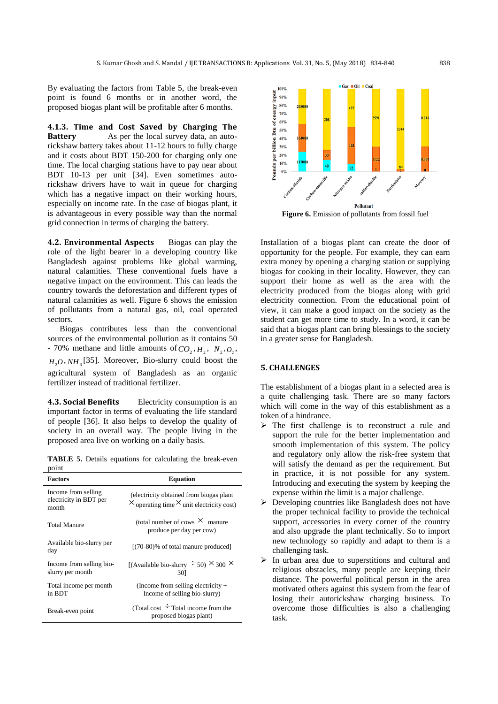By evaluating the factors from Table 5, the break-even point is found 6 months or in another word, the proposed biogas plant will be profitable after 6 months.

**4.1.3. Time and Cost Saved by Charging The Battery** As per the local survey data, an autorickshaw battery takes about 11-12 hours to fully charge and it costs about BDT 150-200 for charging only one time. The local charging stations have to pay near about BDT 10-13 per unit [\[34\]](#page-6-7). Even sometimes autorickshaw drivers have to wait in queue for charging which has a negative impact on their working hours, especially on income rate. In the case of biogas plant, it is advantageous in every possible way than the normal grid connection in terms of charging the battery.

**4.2. Environmental Aspects** Biogas can play the role of the light bearer in a developing country like Bangladesh against problems like global warming, natural calamities. These conventional fuels have a negative impact on the environment. This can leads the country towards the deforestation and different types of natural calamities as well. Figure 6 shows the emission of pollutants from a natural gas, oil, coal operated sectors.

Biogas contributes less than the conventional sources of the environmental pollution as it contains 50 - 70% methane and little amounts of  $CO_2$ ,  $H_2$ ,  $N_2$ ,  $O_2$ ,  $H_2O$ , *NH*<sub>3</sub> [\[35\]](#page-6-8). Moreover, Bio-slurry could boost the agricultural system of Bangladesh as an organic fertilizer instead of traditional fertilizer.

**4.3. Social Benefits** Electricity consumption is an important factor in terms of evaluating the life standard of people [\[36\]](#page-6-9). It also helps to develop the quality of society in an overall way. The people living in the proposed area live on working on a daily basis.

**TABLE 5.** Details equations for calculating the break-even point

| <b>Factors</b>                                         | <b>Equation</b>                                                                                    |
|--------------------------------------------------------|----------------------------------------------------------------------------------------------------|
| Income from selling<br>electricity in BDT per<br>month | (electricity obtained from biogas plant<br>$\times$ operating time $\times$ unit electricity cost) |
| <b>Total Manure</b>                                    | (total number of cows $\times$ manure<br>produce per day per cow)                                  |
| Available bio-slurry per<br>day                        | $[(70-80)\%$ of total manure produced]                                                             |
| Income from selling bio-<br>slurry per month           | [(Available bio-slurry $\div$ 50) $\times$ 300 $\times$<br>301                                     |
| Total income per month<br>in BDT                       | (Income from selling electricity $+$<br>Income of selling bio-slurry)                              |
| Break-even point                                       | (Total cost $\div$ Total income from the<br>proposed biogas plant)                                 |



**Figure 6.** Emission of pollutants from fossil fuel

Installation of a biogas plant can create the door of opportunity for the people. For example, they can earn extra money by opening a charging station or supplying biogas for cooking in their locality. However, they can support their home as well as the area with the electricity produced from the biogas along with grid electricity connection. From the educational point of view, it can make a good impact on the society as the student can get more time to study. In a word, it can be said that a biogas plant can bring blessings to the society in a greater sense for Bangladesh.

### **5. CHALLENGES**

The establishment of a biogas plant in a selected area is a quite challenging task. There are so many factors which will come in the way of this establishment as a token of a hindrance.

- $\triangleright$  The first challenge is to reconstruct a rule and support the rule for the better implementation and smooth implementation of this system. The policy and regulatory only allow the risk-free system that will satisfy the demand as per the requirement. But in practice, it is not possible for any system. Introducing and executing the system by keeping the expense within the limit is a major challenge.
- $\triangleright$  Developing countries like Bangladesh does not have the proper technical facility to provide the technical support, accessories in every corner of the country and also upgrade the plant technically. So to import new technology so rapidly and adapt to them is a challenging task.
- $\triangleright$  In urban area due to superstitions and cultural and religious obstacles, many people are keeping their distance. The powerful political person in the area motivated others against this system from the fear of losing their autorickshaw charging business. To overcome those difficulties is also a challenging task.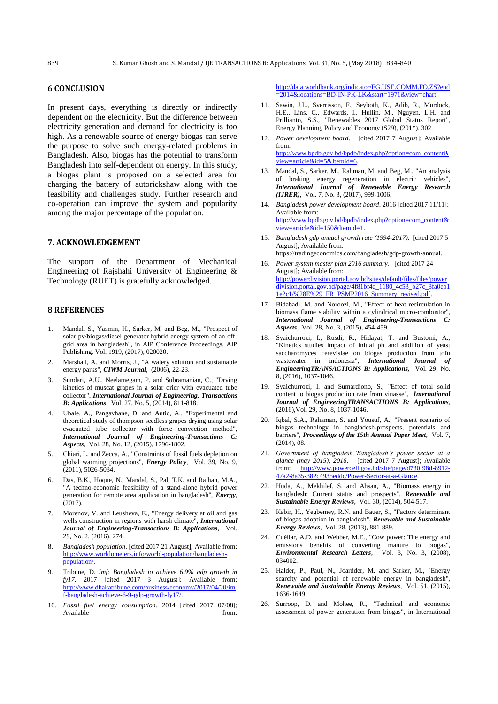## **6 CONCLUSION**

In present days, everything is directly or indirectly dependent on the electricity. But the difference between electricity generation and demand for electricity is too high. As a renewable source of energy biogas can serve the purpose to solve such energy-related problems in Bangladesh. Also, biogas has the potential to transform Bangladesh into self-dependent on energy. In this study, a biogas plant is proposed on a selected area for charging the battery of autorickshaw along with the feasibility and challenges study. Further research and co-operation can improve the system and popularity among the major percentage of the population.

## **7. ACKNOWLEDGEMENT**

The support of the Department of Mechanical Engineering of Rajshahi University of Engineering & Technology (RUET) is gratefully acknowledged.

### **8 REFERENCES**

- <span id="page-5-0"></span>1. Mandal, S., Yasmin, H., Sarker, M. and Beg, M., "Prospect of solar-pv/biogas/diesel generator hybrid energy system of an offgrid area in bangladesh", in AIP Conference Proceedings, AIP Publishing. Vol. 1919, (2017), 020020.
- <span id="page-5-1"></span>2. Marshall, A. and Morris, J., "A watery solution and sustainable energy parks", *CIWM Journal*, (2006), 22-23.
- <span id="page-5-2"></span>3. Sundari, A.U., Neelamegam, P. and Subramanian, C., "Drying kinetics of muscat grapes in a solar drier with evacuated tube collector", *International Journal of Engineering, Transactions B: Applications*, Vol. 27, No. 5, (2014), 811-818.
- <span id="page-5-3"></span>4. Ubale, A., Pangavhane, D. and Autic, A., "Experimental and theoretical study of thompson seedless grapes drying using solar evacuated tube collector with force convection method", *International Journal of Engineering-Transactions C: Aspects*, Vol. 28, No. 12, (2015), 1796-1802.
- <span id="page-5-4"></span>5. Chiari, L. and Zecca, A., "Constraints of fossil fuels depletion on global warming projections", *Energy Policy*, Vol. 39, No. 9,  $(2011)$ , 5026-5034.
- <span id="page-5-5"></span>6. Das, B.K., Hoque, N., Mandal, S., Pal, T.K. and Raihan, M.A., "A techno-economic feasibility of a stand-alone hybrid power generation for remote area application in bangladesh", *Energy*, (2017).
- <span id="page-5-6"></span>7. Morenov, V. and Leusheva, E., "Energy delivery at oil and gas wells construction in regions with harsh climate", *International Journal of Engineering-Transactions B: Applications*, Vol. 29, No. 2, (2016), 274.
- <span id="page-5-7"></span>8. *Bangladesh population*. [cited 2017 21 August]; Available from: [http://www.worldometers.info/world-population/bangladesh](http://www.worldometers.info/world-population/bangladesh-population/)[population/.](http://www.worldometers.info/world-population/bangladesh-population/)
- <span id="page-5-8"></span>9. Tribune, D. *Imf: Bangladesh to achieve 6.9% gdp growth in fy17*. 2017 [cited 2017 3 August]; Available from: [http://www.dhakatribune.com/business/economy/2017/04/20/im](http://www.dhakatribune.com/business/economy/2017/04/20/imf-bangladesh-achieve-6-9-gdp-growth-fy17/) [f-bangladesh-achieve-6-9-gdp-growth-fy17/.](http://www.dhakatribune.com/business/economy/2017/04/20/imf-bangladesh-achieve-6-9-gdp-growth-fy17/)
- <span id="page-5-9"></span>10. *Fossil fuel energy consumption*. 2014 [cited 2017 07/08]; Available from:

[http://data.worldbank.org/indicator/EG.USE.COMM.FO.ZS?end](http://data.worldbank.org/indicator/EG.USE.COMM.FO.ZS?end=2014&locations=BD-IN-PK-LK&start=1971&view=chart) [=2014&locations=BD-IN-PK-LK&start=1971&view=chart.](http://data.worldbank.org/indicator/EG.USE.COMM.FO.ZS?end=2014&locations=BD-IN-PK-LK&start=1971&view=chart)

- <span id="page-5-10"></span>11. Sawin, J.L., Sverrisson, F., Seyboth, K., Adib, R., Murdock, H.E., Lins, C., Edwards, I., Hullin, M., Nguyen, L.H. and Prillianto, S.S., "Renewables 2017 Global Status Report", Energy [Planning, Policy and Economy \(S29\),](https://inis.iaea.org/search/search.aspx?orig_q=primarysubject:%22ENERGY%20PLANNING,%20POLICY%20AND%20ECONOMY%20(S29)%22) (2017). 302.
- <span id="page-5-11"></span>12. *Power development board*. [cited 2017 7 August]; Available from: [http://www.bpdb.gov.bd/bpdb/index.php?option=com\\_content&](http://www.bpdb.gov.bd/bpdb/index.php?option=com_content&view=article&id=5&Itemid=6) [view=article&id=5&Itemid=6.](http://www.bpdb.gov.bd/bpdb/index.php?option=com_content&view=article&id=5&Itemid=6)
- <span id="page-5-12"></span>13. Mandal, S., Sarker, M., Rahman, M. and Beg, M., "An analysis of braking energy regeneration in electric vehicles", *International Journal of Renewable Energy Research (IJRER)*, Vol. 7, No. 3, (2017), 999-1006.
- <span id="page-5-13"></span>14. *Bangladesh power development board*. 2016 [cited 2017 11/11]; Available from: [http://www.bpdb.gov.bd/bpdb/index.php?option=com\\_content&](http://www.bpdb.gov.bd/bpdb/index.php?option=com_content&view=article&id=150&Itemid=1) [view=article&id=150&Itemid=1.](http://www.bpdb.gov.bd/bpdb/index.php?option=com_content&view=article&id=150&Itemid=1)
- <span id="page-5-14"></span>15. *Bangladesh gdp annual growth rate (1994-2017)*. [cited 2017 5 August]; Available from: https://tradingeconomics.com/bangladesh/gdp-growth-annual.
- <span id="page-5-15"></span>16. *Power system master plan 2016 summary*. [cited 2017 24 August]; Available from: [http://powerdivision.portal.gov.bd/sites/default/files/files/power](http://powerdivision.portal.gov.bd/sites/default/files/files/powerdivision.portal.gov.bd/page/4f81bf4d_1180_4c53_b27c_8fa0eb11e2c1/%28E%29_FR_PSMP2016_Summary_revised.pdf)
	- [division.portal.gov.bd/page/4f81bf4d\\_1180\\_4c53\\_b27c\\_8fa0eb1](http://powerdivision.portal.gov.bd/sites/default/files/files/powerdivision.portal.gov.bd/page/4f81bf4d_1180_4c53_b27c_8fa0eb11e2c1/%28E%29_FR_PSMP2016_Summary_revised.pdf) [1e2c1/%28E%29\\_FR\\_PSMP2016\\_Summary\\_revised.pdf.](http://powerdivision.portal.gov.bd/sites/default/files/files/powerdivision.portal.gov.bd/page/4f81bf4d_1180_4c53_b27c_8fa0eb11e2c1/%28E%29_FR_PSMP2016_Summary_revised.pdf)
- <span id="page-5-16"></span>17. Bidabadi, M. and Noroozi, M., "Effect of heat recirculation in biomass flame stability within a cylindrical micro-combustor", *International Journal of Engineering-Transactions C: Aspects*, Vol. 28, No. 3, (2015), 454-459.
- <span id="page-5-17"></span>18. Syaichurrozi, I., Rusdi, R., Hidayat, T. and Bustomi, A., "Kinetics studies impact of initial ph and addition of yeast saccharomyces cerevisiae on biogas production from tofu wastewater in indonesia", *International Journal of EngineeringTRANSACTIONS B: Applications,* Vol. 29, No. 8, (2016), 1037-1046.
- <span id="page-5-18"></span>19. Syaichurrozi, I. and Sumardiono, S., "Effect of total solid content to biogas production rate from vinasse", *International Journal of EngineeringTRANSACTIONS B: Applications*, (2016),Vol. 29, No. 8, 1037-1046.
- <span id="page-5-19"></span>20. Iqbal, S.A., Rahaman, S. and Yousuf, A., "Present scenario of biogas technology in bangladesh-prospects, potentials and barriers", *Proceedings of the 15th Annual Paper Meet*, Vol. 7, (2014), 08.
- <span id="page-5-20"></span>21. *Government of bangladesh.'Bangladesh's power sector at a glance (may 2015), 2016*. [cited 2017 7 August]; Available from: [http://www.powercell.gov.bd/site/page/d730f98d-8912-](http://www.powercell.gov.bd/site/page/d730f98d-8912-47a2-8a35-382c4935eddc/Power-Sector-at-a-Glance) [47a2-8a35-382c4935eddc/Power-Sector-at-a-Glance.](http://www.powercell.gov.bd/site/page/d730f98d-8912-47a2-8a35-382c4935eddc/Power-Sector-at-a-Glance)
- <span id="page-5-21"></span>22. Huda, A., Mekhilef, S. and Ahsan, A., "Biomass energy in bangladesh: Current status and prospects", *Renewable and Sustainable Energy Reviews*, Vol. 30, (2014), 504-517.
- <span id="page-5-22"></span>23. Kabir, H., Yegbemey, R.N. and Bauer, S., "Factors determinant of biogas adoption in bangladesh", *Renewable and Sustainable Energy Reviews*, Vol. 28, (2013), 881-889.
- <span id="page-5-23"></span>24. Cuéllar, A.D. and Webber, M.E., "Cow power: The energy and emissions benefits of converting manure to biogas", *Environmental Research Letters*, Vol. 3, No. 3, (2008), 034002.
- <span id="page-5-24"></span>25. Halder, P., Paul, N., Joardder, M. and Sarker, M., "Energy scarcity and potential of renewable energy in bangladesh", *Renewable and Sustainable Energy Reviews*, Vol. 51, (2015), 1636-1649.
- <span id="page-5-25"></span>26. Surroop, D. and Mohee, R., "Technical and economic assessment of power generation from biogas", in International